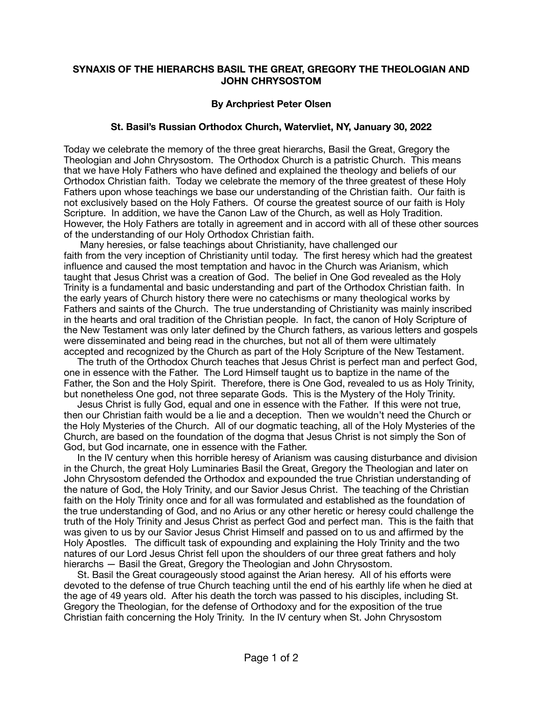## **SYNAXIS OF THE HIERARCHS BASIL THE GREAT, GREGORY THE THEOLOGIAN AND JOHN CHRYSOSTOM**

## **By Archpriest Peter Olsen**

## **St. Basil's Russian Orthodox Church, Watervliet, NY, January 30, 2022**

Today we celebrate the memory of the three great hierarchs, Basil the Great, Gregory the Theologian and John Chrysostom. The Orthodox Church is a patristic Church. This means that we have Holy Fathers who have defined and explained the theology and beliefs of our Orthodox Christian faith. Today we celebrate the memory of the three greatest of these Holy Fathers upon whose teachings we base our understanding of the Christian faith. Our faith is not exclusively based on the Holy Fathers. Of course the greatest source of our faith is Holy Scripture. In addition, we have the Canon Law of the Church, as well as Holy Tradition. However, the Holy Fathers are totally in agreement and in accord with all of these other sources of the understanding of our Holy Orthodox Christian faith.

 Many heresies, or false teachings about Christianity, have challenged our faith from the very inception of Christianity until today. The first heresy which had the greatest influence and caused the most temptation and havoc in the Church was Arianism, which taught that Jesus Christ was a creation of God. The belief in One God revealed as the Holy Trinity is a fundamental and basic understanding and part of the Orthodox Christian faith. In the early years of Church history there were no catechisms or many theological works by Fathers and saints of the Church. The true understanding of Christianity was mainly inscribed in the hearts and oral tradition of the Christian people. In fact, the canon of Holy Scripture of the New Testament was only later defined by the Church fathers, as various letters and gospels were disseminated and being read in the churches, but not all of them were ultimately accepted and recognized by the Church as part of the Holy Scripture of the New Testament.

 The truth of the Orthodox Church teaches that Jesus Christ is perfect man and perfect God, one in essence with the Father. The Lord Himself taught us to baptize in the name of the Father, the Son and the Holy Spirit. Therefore, there is One God, revealed to us as Holy Trinity, but nonetheless One god, not three separate Gods. This is the Mystery of the Holy Trinity.

 Jesus Christ is fully God, equal and one in essence with the Father. If this were not true, then our Christian faith would be a lie and a deception. Then we wouldn't need the Church or the Holy Mysteries of the Church. All of our dogmatic teaching, all of the Holy Mysteries of the Church, are based on the foundation of the dogma that Jesus Christ is not simply the Son of God, but God incarnate, one in essence with the Father.

 In the IV century when this horrible heresy of Arianism was causing disturbance and division in the Church, the great Holy Luminaries Basil the Great, Gregory the Theologian and later on John Chrysostom defended the Orthodox and expounded the true Christian understanding of the nature of God, the Holy Trinity, and our Savior Jesus Christ. The teaching of the Christian faith on the Holy Trinity once and for all was formulated and established as the foundation of the true understanding of God, and no Arius or any other heretic or heresy could challenge the truth of the Holy Trinity and Jesus Christ as perfect God and perfect man. This is the faith that was given to us by our Savior Jesus Christ Himself and passed on to us and affirmed by the Holy Apostles. The difficult task of expounding and explaining the Holy Trinity and the two natures of our Lord Jesus Christ fell upon the shoulders of our three great fathers and holy hierarchs — Basil the Great, Gregory the Theologian and John Chrysostom.

 St. Basil the Great courageously stood against the Arian heresy. All of his efforts were devoted to the defense of true Church teaching until the end of his earthly life when he died at the age of 49 years old. After his death the torch was passed to his disciples, including St. Gregory the Theologian, for the defense of Orthodoxy and for the exposition of the true Christian faith concerning the Holy Trinity. In the IV century when St. John Chrysostom